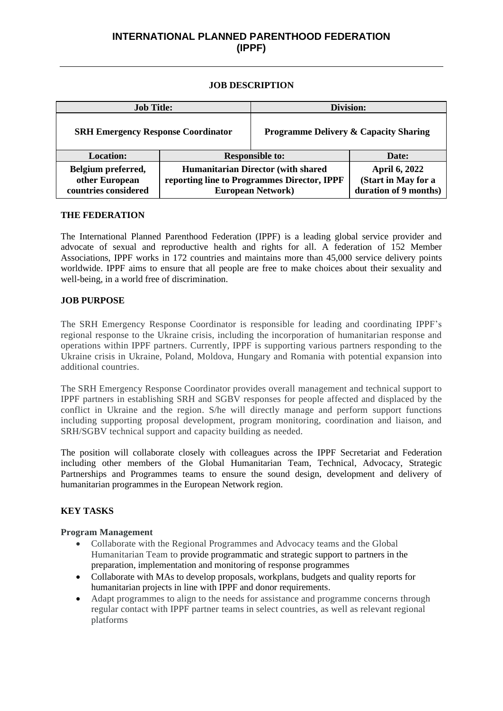# **INTERNATIONAL PLANNED PARENTHOOD FEDERATION (IPPF)**

#### **JOB DESCRIPTION**

| <b>Job Title:</b>                                            |                                                                                                                        | Division:                                        |                                                                      |
|--------------------------------------------------------------|------------------------------------------------------------------------------------------------------------------------|--------------------------------------------------|----------------------------------------------------------------------|
| <b>SRH Emergency Response Coordinator</b>                    |                                                                                                                        | <b>Programme Delivery &amp; Capacity Sharing</b> |                                                                      |
| <b>Location:</b>                                             | <b>Responsible to:</b>                                                                                                 |                                                  | Date:                                                                |
| Belgium preferred,<br>other European<br>countries considered | <b>Humanitarian Director (with shared)</b><br>reporting line to Programmes Director, IPPF<br><b>European Network</b> ) |                                                  | <b>April 6, 2022</b><br>(Start in May for a<br>duration of 9 months) |

#### **THE FEDERATION**

The International Planned Parenthood Federation (IPPF) is a leading global service provider and advocate of sexual and reproductive health and rights for all. A federation of 152 Member Associations, IPPF works in 172 countries and maintains more than 45,000 service delivery points worldwide. IPPF aims to ensure that all people are free to make choices about their sexuality and well-being, in a world free of discrimination.

#### **JOB PURPOSE**

The SRH Emergency Response Coordinator is responsible for leading and coordinating IPPF's regional response to the Ukraine crisis, including the incorporation of humanitarian response and operations within IPPF partners. Currently, IPPF is supporting various partners responding to the Ukraine crisis in Ukraine, Poland, Moldova, Hungary and Romania with potential expansion into additional countries.

The SRH Emergency Response Coordinator provides overall management and technical support to IPPF partners in establishing SRH and SGBV responses for people affected and displaced by the conflict in Ukraine and the region. S/he will directly manage and perform support functions including supporting proposal development, program monitoring, coordination and liaison, and SRH/SGBV technical support and capacity building as needed.

The position will collaborate closely with colleagues across the IPPF Secretariat and Federation including other members of the Global Humanitarian Team, Technical, Advocacy, Strategic Partnerships and Programmes teams to ensure the sound design, development and delivery of humanitarian programmes in the European Network region.

### **KEY TASKS**

### **Program Management**

- Collaborate with the Regional Programmes and Advocacy teams and the Global Humanitarian Team to provide programmatic and strategic support to partners in the preparation, implementation and monitoring of response programmes
- Collaborate with MAs to develop proposals, workplans, budgets and quality reports for humanitarian projects in line with IPPF and donor requirements.
- Adapt programmes to align to the needs for assistance and programme concerns through regular contact with IPPF partner teams in select countries, as well as relevant regional platforms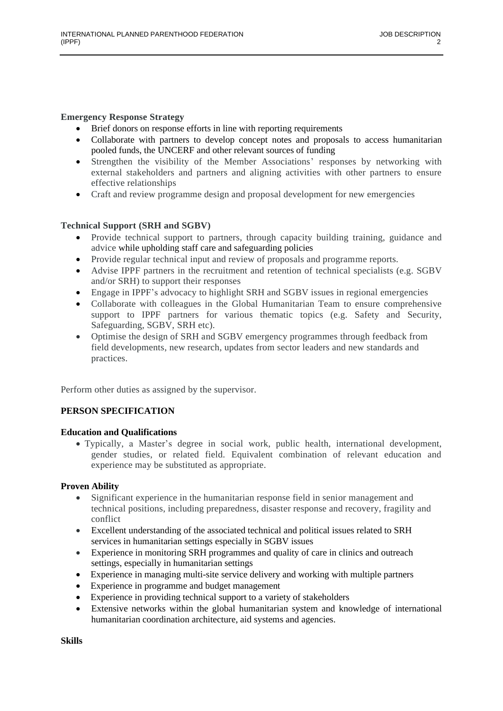### **Emergency Response Strategy**

- Brief donors on response efforts in line with reporting requirements
- Collaborate with partners to develop concept notes and proposals to access humanitarian pooled funds, the UNCERF and other relevant sources of funding
- Strengthen the visibility of the Member Associations' responses by networking with external stakeholders and partners and aligning activities with other partners to ensure effective relationships
- Craft and review programme design and proposal development for new emergencies

### **Technical Support (SRH and SGBV)**

- Provide technical support to partners, through capacity building training, guidance and advice while upholding staff care and safeguarding policies
- Provide regular technical input and review of proposals and programme reports.
- Advise IPPF partners in the recruitment and retention of technical specialists (e.g. SGBV and/or SRH) to support their responses
- Engage in IPPF's advocacy to highlight SRH and SGBV issues in regional emergencies
- Collaborate with colleagues in the Global Humanitarian Team to ensure comprehensive support to IPPF partners for various thematic topics (e.g. Safety and Security, Safeguarding, SGBV, SRH etc).
- Optimise the design of SRH and SGBV emergency programmes through feedback from field developments, new research, updates from sector leaders and new standards and practices.

Perform other duties as assigned by the supervisor.

# **PERSON SPECIFICATION**

### **Education and Qualifications**

• Typically, a Master's degree in social work, public health, international development, gender studies, or related field. Equivalent combination of relevant education and experience may be substituted as appropriate.

# **Proven Ability**

- Significant experience in the humanitarian response field in senior management and technical positions, including preparedness, disaster response and recovery, fragility and conflict
- Excellent understanding of the associated technical and political issues related to SRH services in humanitarian settings especially in SGBV issues
- Experience in monitoring SRH programmes and quality of care in clinics and outreach settings, especially in humanitarian settings
- Experience in managing multi-site service delivery and working with multiple partners
- Experience in programme and budget management
- Experience in providing technical support to a variety of stakeholders
- Extensive networks within the global humanitarian system and knowledge of international humanitarian coordination architecture, aid systems and agencies.

**Skills**